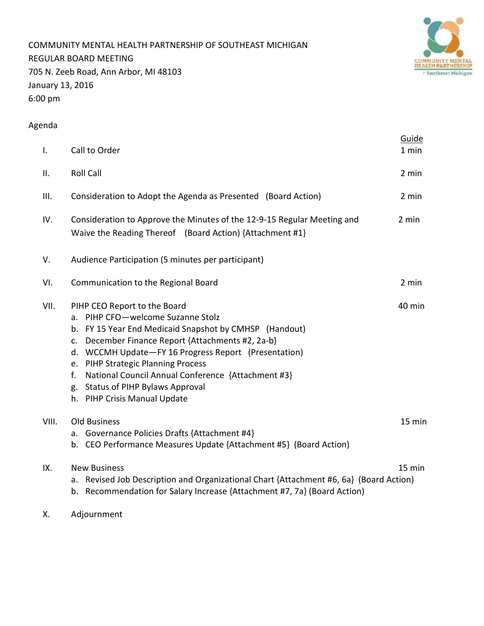COMMUNITY MENTAL HEALTH PARTNERSHIP OF SOUTHEAST MICHIGAN REGULAR BOARD MEETING 705 N. Zeeb Road, Ann Arbor, MI 48103 January 13, 2016 6:00 pm



# Agenda

| $\mathbf{I}$ . | Call to Order                                                                                                                                                                                                                                                                                                                                                                                                                         | Guide<br>1 min |  |  |  |  |
|----------------|---------------------------------------------------------------------------------------------------------------------------------------------------------------------------------------------------------------------------------------------------------------------------------------------------------------------------------------------------------------------------------------------------------------------------------------|----------------|--|--|--|--|
| ΙΙ.            | <b>Roll Call</b>                                                                                                                                                                                                                                                                                                                                                                                                                      | 2 min          |  |  |  |  |
| III.           | Consideration to Adopt the Agenda as Presented (Board Action)                                                                                                                                                                                                                                                                                                                                                                         | 2 min          |  |  |  |  |
| IV.            | 2 min<br>Consideration to Approve the Minutes of the 12-9-15 Regular Meeting and<br>Waive the Reading Thereof (Board Action) {Attachment #1}                                                                                                                                                                                                                                                                                          |                |  |  |  |  |
| V.             | Audience Participation (5 minutes per participant)                                                                                                                                                                                                                                                                                                                                                                                    |                |  |  |  |  |
| VI.            | Communication to the Regional Board                                                                                                                                                                                                                                                                                                                                                                                                   | 2 min          |  |  |  |  |
| VII.           | PIHP CEO Report to the Board<br>a. PIHP CFO-welcome Suzanne Stolz<br>b. FY 15 Year End Medicaid Snapshot by CMHSP (Handout)<br>December Finance Report {Attachments #2, 2a-b}<br>$C_{\star}$<br>d. WCCMH Update-FY 16 Progress Report (Presentation)<br>e. PIHP Strategic Planning Process<br>National Council Annual Conference {Attachment #3}<br>f.<br><b>Status of PIHP Bylaws Approval</b><br>g.<br>h. PIHP Crisis Manual Update | 40 min         |  |  |  |  |
| VIII.          | <b>Old Business</b><br>a. Governance Policies Drafts {Attachment #4}<br>b. CEO Performance Measures Update {Attachment #5} (Board Action)                                                                                                                                                                                                                                                                                             | 15 min         |  |  |  |  |
| IX.            | <b>New Business</b><br>Revised Job Description and Organizational Chart {Attachment #6, 6a} (Board Action)<br>а.<br>Recommendation for Salary Increase {Attachment #7, 7a} (Board Action)<br>b.                                                                                                                                                                                                                                       | 15 min         |  |  |  |  |

X. Adjournment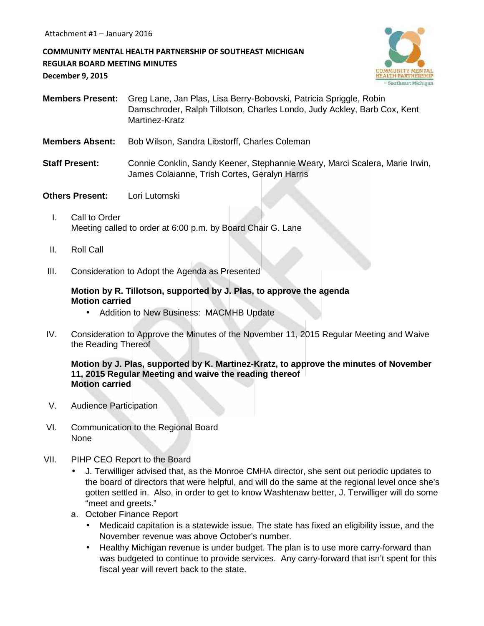**COMMUNITY MENTAL HEALTH PARTNERSHIP OF SOUTHEAST MICHIGAN REGULAR BOARD MEETING MINUTES December 9, 2015**



- **Members Present:** Greg Lane, Jan Plas, Lisa Berry-Bobovski, Patricia Spriggle, Robin Damschroder, Ralph Tillotson, Charles Londo, Judy Ackley, Barb Cox, Kent Martinez-Kratz
- **Members Absent:** Bob Wilson, Sandra Libstorff, Charles Coleman
- **Staff Present:** Connie Conklin, Sandy Keener, Stephannie Weary, Marci Scalera, Marie Irwin, James Colaianne, Trish Cortes, Geralyn Harris
- **Others Present:** Lori Lutomski
	- I. Call to Order Meeting called to order at 6:00 p.m. by Board Chair G. Lane
	- II. Roll Call
- III. Consideration to Adopt the Agenda as Presented

### **Motion by R. Tillotson, supported by J. Plas, to approve the agenda Motion carried**

- Addition to New Business: MACMHB Update
- IV. Consideration to Approve the Minutes of the November 11, 2015 Regular Meeting and Waive the Reading Thereof

### **Motion by J. Plas, supported by K. Martinez-Kratz, to approve the minutes of November 11, 2015 Regular Meeting and waive the reading thereof Motion carried**

- V. Audience Participation
- VI. Communication to the Regional Board None
- VII. PIHP CEO Report to the Board
	- J. Terwilliger advised that, as the Monroe CMHA director, she sent out periodic updates to the board of directors that were helpful, and will do the same at the regional level once she's gotten settled in. Also, in order to get to know Washtenaw better, J. Terwilliger will do some "meet and greets."
	- a. October Finance Report
		- Medicaid capitation is a statewide issue. The state has fixed an eligibility issue, and the November revenue was above October's number.
		- Healthy Michigan revenue is under budget. The plan is to use more carry-forward than was budgeted to continue to provide services. Any carry-forward that isn't spent for this fiscal year will revert back to the state.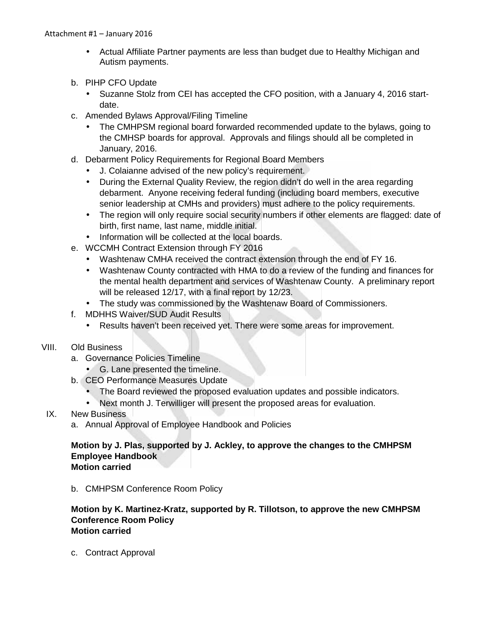- Actual Affiliate Partner payments are less than budget due to Healthy Michigan and Autism payments.
- b. PIHP CFO Update
	- Suzanne Stolz from CEI has accepted the CFO position, with a January 4, 2016 start date.
- c. Amended Bylaws Approval/Filing Timeline
	- The CMHPSM regional board forwarded recommended update to the bylaws, going to the CMHSP boards for approval. Approvals and filings should all be completed in January, 2016.
- d. Debarment Policy Requirements for Regional Board Members
	- J. Colaianne advised of the new policy's requirement.
	- During the External Quality Review, the region didn't do well in the area regarding debarment. Anyone receiving federal funding (including board members, executive senior leadership at CMHs and providers) must adhere to the policy requirements.
	- The region will only require social security numbers if other elements are flagged: date of birth, first name, last name, middle initial.
	- Information will be collected at the local boards.
- e. WCCMH Contract Extension through FY 2016
	- Washtenaw CMHA received the contract extension through the end of FY 16.
	- Washtenaw County contracted with HMA to do a review of the funding and finances for the mental health department and services of Washtenaw County. A preliminary report will be released 12/17, with a final report by 12/23.
	- The study was commissioned by the Washtenaw Board of Commissioners.
- f. MDHHS Waiver/SUD Audit Results
	- Results haven't been received yet. There were some areas for improvement.

### VIII. Old Business

- a. Governance Policies Timeline
	- G. Lane presented the timeline.
- b. CEO Performance Measures Update
	- The Board reviewed the proposed evaluation updates and possible indicators.
	- Next month J. Terwilliger will present the proposed areas for evaluation.
- IX. New Business
	- a. Annual Approval of Employee Handbook and Policies

### **Motion by J. Plas, supported by J. Ackley, to approve the changes to the CMHPSM Employee Handbook Motion carried**

b. CMHPSM Conference Room Policy

### **Motion by K. Martinez-Kratz, supported by R. Tillotson, to approve the new CMHPSM Conference Room Policy Motion carried**

c. Contract Approval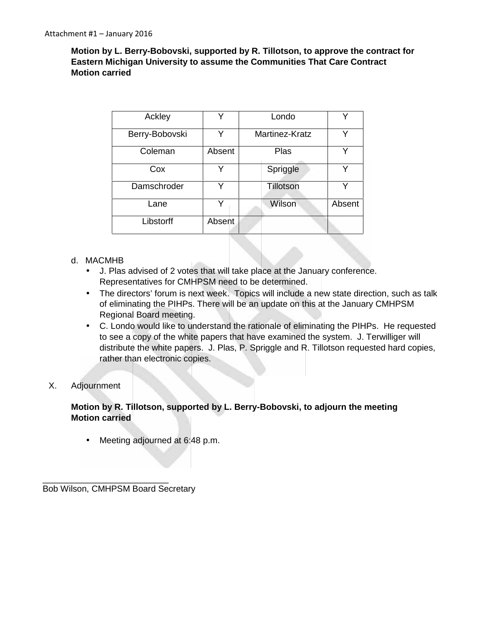**Motion by L. Berry-Bobovski, supported by R. Tillotson, to approve the contract for Eastern Michigan University to assume the Communities That Care Contract Motion carried**

| Ackley         |        | Londo          |        |
|----------------|--------|----------------|--------|
| Berry-Bobovski | v      | Martinez-Kratz | Y      |
| Coleman        | Absent | Plas           | v      |
| Cox            | v      | Spriggle       | Y      |
| Damschroder    | v      | Tillotson      | Y      |
| Lane           | v      | Wilson         | Absent |
| Libstorff      | Absent |                |        |

### d. MACMHB

- J. Plas advised of 2 votes that will take place at the January conference. Representatives for CMHPSM need to be determined.
- The directors' forum is next week. Topics will include a new state direction, such as talk of eliminating the PIHPs. There will be an update on this at the January CMHPSM Regional Board meeting.
- C. Londo would like to understand the rationale of eliminating the PIHPs. He requested to see a copy of the white papers that have examined the system. J. Terwilliger will distribute the white papers. J. Plas, P. Spriggle and R. Tillotson requested hard copies, rather than electronic copies.

### X. Adjournment

### **Motion by R. Tillotson, supported by L. Berry-Bobovski, to adjourn the meeting Motion carried**

• Meeting adjourned at 6:48 p.m.

\_\_\_\_\_\_\_\_\_\_\_\_\_\_\_\_\_\_\_\_\_\_\_\_\_\_ Bob Wilson, CMHPSM Board Secretary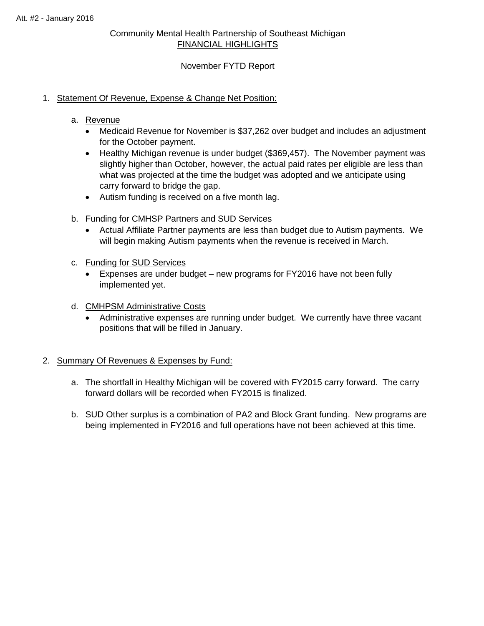## Community Mental Health Partnership of Southeast Michigan FINANCIAL HIGHLIGHTS

### November FYTD Report

### 1. Statement Of Revenue, Expense & Change Net Position:

### a. Revenue

- Medicaid Revenue for November is \$37,262 over budget and includes an adjustment for the October payment.
- Healthy Michigan revenue is under budget (\$369,457). The November payment was slightly higher than October, however, the actual paid rates per eligible are less than what was projected at the time the budget was adopted and we anticipate using carry forward to bridge the gap.
- Autism funding is received on a five month lag.
- b. Funding for CMHSP Partners and SUD Services
	- Actual Affiliate Partner payments are less than budget due to Autism payments. We will begin making Autism payments when the revenue is received in March.
- c. Funding for SUD Services
	- Expenses are under budget new programs for FY2016 have not been fully implemented yet.
- d. CMHPSM Administrative Costs
	- Administrative expenses are running under budget. We currently have three vacant positions that will be filled in January.

### 2. Summary Of Revenues & Expenses by Fund:

- a. The shortfall in Healthy Michigan will be covered with FY2015 carry forward. The carry forward dollars will be recorded when FY2015 is finalized.
- b. SUD Other surplus is a combination of PA2 and Block Grant funding. New programs are being implemented in FY2016 and full operations have not been achieved at this time.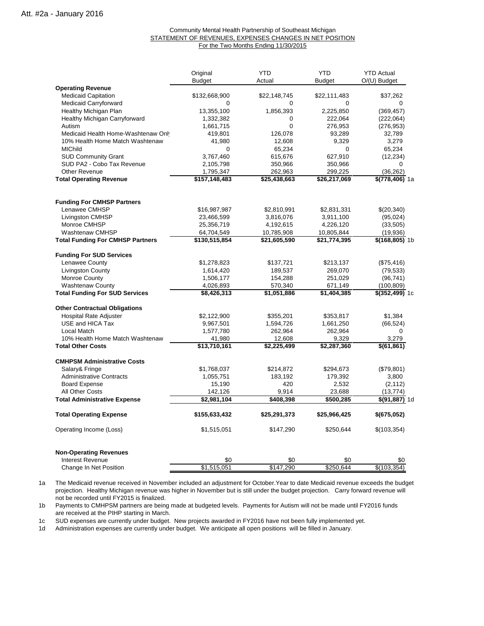#### Community Mental Health Partnership of Southeast Michigan STATEMENT OF REVENUES, EXPENSES CHANGES IN NET POSITION For the Two Months Ending 11/30/2015

|                                         | Original<br><b>Budget</b> | <b>YTD</b><br>Actual | <b>YTD</b><br><b>Budget</b> | <b>YTD Actual</b><br>O/(U) Budget |
|-----------------------------------------|---------------------------|----------------------|-----------------------------|-----------------------------------|
| <b>Operating Revenue</b>                |                           |                      |                             |                                   |
| <b>Medicaid Capitation</b>              | \$132,668,900             | \$22,148,745         | \$22,111,483                | \$37,262                          |
| <b>Medicaid Carryforward</b>            | 0                         | 0                    | 0                           | $\Omega$                          |
| Healthy Michigan Plan                   | 13,355,100                | 1,856,393            | 2,225,850                   | (369, 457)                        |
| Healthy Michigan Carryforward           | 1,332,382                 | 0                    | 222,064                     | (222,064)                         |
| Autism                                  | 1,661,715                 | 0                    | 276,953                     | (276, 953)                        |
| Medicaid Health Home-Washtenaw Only     | 419,801                   | 126,078              | 93,289                      | 32,789                            |
| 10% Health Home Match Washtenaw         | 41,980                    | 12,608               | 9,329                       | 3,279                             |
| <b>MIChild</b>                          | 0                         | 65,234               | 0                           | 65,234                            |
| <b>SUD Community Grant</b>              | 3,767,460                 | 615,676              | 627,910                     | (12, 234)                         |
| SUD PA2 - Cobo Tax Revenue              | 2,105,798                 | 350,966              | 350,966                     | $\Omega$                          |
| <b>Other Revenue</b>                    | 1,795,347                 | 262,963              | 299,225                     | (36, 262)                         |
| <b>Total Operating Revenue</b>          | \$157,148,483             | \$25,438,663         | \$26,217,069                | \$(778,406) 1a                    |
| <b>Funding For CMHSP Partners</b>       |                           |                      |                             |                                   |
| Lenawee CMHSP                           | \$16,987,987              | \$2,810,991          | \$2,831,331                 | \$(20,340)                        |
| Livingston CMHSP                        | 23,466,599                | 3,816,076            | 3,911,100                   | (95, 024)                         |
| Monroe CMHSP                            | 25,356,719                | 4,192,615            | 4,226,120                   | (33, 505)                         |
| Washtenaw CMHSP                         | 64,704,549                | 10,785,908           | 10,805,844                  | (19,936)                          |
| <b>Total Funding For CMHSP Partners</b> | \$130,515,854             | \$21,605,590         | \$21,774,395                | <b>\$(168,805)</b> 1b             |
| <b>Funding For SUD Services</b>         |                           |                      |                             |                                   |
| Lenawee County                          | \$1,278,823               | \$137,721            | \$213,137                   | (\$75,416)                        |
| <b>Livingston County</b>                | 1,614,420                 | 189,537              | 269,070                     | (79, 533)                         |
| Monroe County                           | 1,506,177                 | 154,288              | 251,029                     | (96, 741)                         |
| <b>Washtenaw County</b>                 | 4,026,893                 | 570,340              | 671,149                     | (100, 809)                        |
| <b>Total Funding For SUD Services</b>   | \$8,426,313               | \$1,051,886          | \$1,404,385                 | \$(352,499) 1c                    |
| <b>Other Contractual Obligations</b>    |                           |                      |                             |                                   |
| Hospital Rate Adjuster                  | \$2,122,900               | \$355,201            | \$353,817                   | \$1,384                           |
| USE and HICA Tax                        | 9,967,501                 | 1,594,726            | 1,661,250                   | (66, 524)                         |
| Local Match                             | 1,577,780                 | 262,964              | 262,964                     | $\Omega$                          |
| 10% Health Home Match Washtenaw         | 41,980                    | 12,608               | 9,329                       | 3,279                             |
| <b>Total Other Costs</b>                | \$13,710,161              | \$2,225,499          | \$2,287,360                 | \$(61, 861)                       |
| <b>CMHPSM Administrative Costs</b>      |                           |                      |                             |                                   |
| Salary& Fringe                          | \$1,768,037               | \$214,872            | \$294,673                   | (\$79,801)                        |
| <b>Administrative Contracts</b>         | 1,055,751                 | 183,192              | 179,392                     | 3,800                             |
| <b>Board Expense</b>                    | 15,190                    | 420                  | 2,532                       | (2, 112)                          |
| All Other Costs                         | 142,126                   | 9,914                | 23,688                      | (13, 774)                         |
| <b>Total Administrative Expense</b>     | \$2,981,104               | \$408,398            | \$500,285                   | \$(91,887) 1d                     |
| <b>Total Operating Expense</b>          | \$155,633,432             | \$25,291,373         | \$25,966,425                | \$(675,052)                       |
| Operating Income (Loss)                 | \$1,515,051               | \$147,290            | \$250,644                   | \$(103,354)                       |
| <b>Non-Operating Revenues</b>           |                           |                      |                             |                                   |
| Interest Revenue                        | \$0                       | \$0                  | \$0                         | \$0                               |
| Change In Net Position                  | \$1,515,051               | \$147,290            | \$250,644                   | \$(103,354)                       |

1a The Medicaid revenue received in November included an adjustment for October.Year to date Medicaid revenue exceeds the budget not be recorded until FY2015 is finalized. projection. Healthy Michigan revenue was higher in November but is still under the budget projection. Carry forward revenue will

1b are received at the PIHP starting in March. Payments to CMHPSM partners are being made at budgeted levels. Payments for Autism will not be made until FY2016 funds

1c SUD expenses are currently under budget. New projects awarded in FY2016 have not been fully implemented yet.

1d Administration expenses are currently under budget. We anticipate all open positions will be filled in January.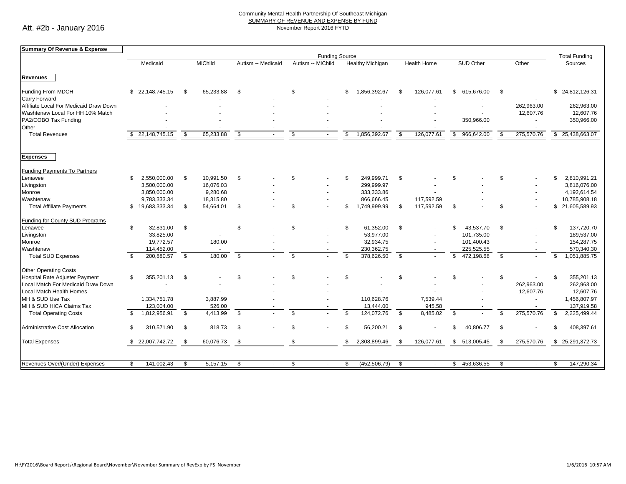#### Community Mental Health Partnership Of Southeast Michigan SUMMARY OF REVENUE AND EXPENSE BY FUND November Report 2016 FYTD

Att. #2b - January 2016

| Summary Of Revenue & Expense           |                                 |     |                |               |                    |               |                   |                      |                         |                |             |      |                  |     |            |                |                  |
|----------------------------------------|---------------------------------|-----|----------------|---------------|--------------------|---------------|-------------------|----------------------|-------------------------|----------------|-------------|------|------------------|-----|------------|----------------|------------------|
|                                        | <b>Funding Source</b>           |     |                |               |                    |               |                   | <b>Total Funding</b> |                         |                |             |      |                  |     |            |                |                  |
|                                        | Medicaid                        |     | <b>MIChild</b> |               | Autism -- Medicaid |               | Autism -- MIChild |                      | <b>Healthy Michigan</b> |                | Health Home |      | <b>SUD Other</b> |     | Other      |                | Sources          |
|                                        |                                 |     |                |               |                    |               |                   |                      |                         |                |             |      |                  |     |            |                |                  |
| <b>Revenues</b>                        |                                 |     |                |               |                    |               |                   |                      |                         |                |             |      |                  |     |            |                |                  |
| <b>Funding From MDCH</b>               | 22,148,745.15<br>\$             | -\$ | 65,233.88      | <sup>\$</sup> |                    | $\mathcal{S}$ |                   | \$                   | 1,856,392.67            | -9             | 126,077.61  | \$   | 615,676.00       | \$  |            |                | \$24,812,126.31  |
| <b>Carry Forward</b>                   |                                 |     |                |               |                    |               |                   |                      |                         |                |             |      |                  |     |            |                |                  |
| Affiliate Local For Medicaid Draw Down |                                 |     |                |               |                    |               |                   |                      |                         |                |             |      |                  |     | 262,963.00 |                | 262,963.00       |
| Washtenaw Local For HH 10% Match       |                                 |     |                |               |                    |               |                   |                      |                         |                |             |      |                  |     | 12,607.76  |                | 12,607.76        |
| PA2/COBO Tax Funding                   |                                 |     |                |               |                    |               |                   |                      |                         |                |             |      | 350,966.00       |     |            |                | 350,966.00       |
| Other                                  |                                 |     |                |               |                    |               |                   |                      |                         |                |             |      |                  |     |            |                |                  |
| <b>Total Revenues</b>                  | 22,148,745.15                   | \$  | 65,233.88      | \$            |                    | \$            |                   | \$                   | 1,856,392.67            | \$             | 126,077.61  | \$   | 966,642.00       | S.  | 275,570.76 |                | \$25,438,663.07  |
|                                        |                                 |     |                |               |                    |               |                   |                      |                         |                |             |      |                  |     |            |                |                  |
| <b>Expenses</b>                        |                                 |     |                |               |                    |               |                   |                      |                         |                |             |      |                  |     |            |                |                  |
| <b>Funding Payments To Partners</b>    |                                 |     |                |               |                    |               |                   |                      |                         |                |             |      |                  |     |            |                |                  |
| Lenawee                                | 2,550,000.00<br>\$              | \$  | 10,991.50      | \$            |                    | \$            |                   | \$                   | 249,999.71              | -\$            |             | \$   |                  | \$  |            | \$             | 2,810,991.21     |
| Livingston                             | 3,500,000.00                    |     | 16,076.03      |               |                    |               |                   |                      | 299,999.97              |                |             |      |                  |     |            |                | 3,816,076.00     |
| Monroe                                 | 3,850,000.00                    |     | 9,280.68       |               |                    |               |                   |                      | 333,333.86              |                |             |      |                  |     |            |                | 4,192,614.54     |
| Washtenaw                              | 9,783,333.34                    |     | 18,315.80      |               |                    |               |                   |                      | 866,666.45              |                | 117,592.59  |      |                  |     |            |                | 10,785,908.18    |
| <b>Total Affiliate Payments</b>        | 19,683,333.34<br>$\mathfrak{L}$ | \$  | 54,664.01      | \$            |                    | \$            |                   | \$                   | 1,749,999.99            | \$             | 117,592.59  | \$   |                  | \$  |            | \$             | 21,605,589.93    |
| Funding for County SUD Programs        |                                 |     |                |               |                    |               |                   |                      |                         |                |             |      |                  |     |            |                |                  |
| Lenawee                                | \$<br>32,831.00                 | \$  |                | \$            |                    | \$            |                   | \$                   | 61,352.00               | \$             |             | \$   | 43,537.70        | \$  |            |                | 137,720.70       |
| Livingston                             | 33,825.00                       |     |                |               |                    |               |                   |                      | 53,977.00               |                |             |      | 101,735.00       |     |            |                | 189,537.00       |
| Monroe                                 | 19,772.57                       |     | 180.00         |               |                    |               |                   |                      | 32,934.75               |                |             |      | 101,400.43       |     |            |                | 154,287.75       |
| Washtenaw                              | 114,452.00                      |     |                |               |                    |               |                   |                      | 230,362.75              |                |             |      | 225,525.55       |     |            |                | 570,340.30       |
| <b>Total SUD Expenses</b>              | 200,880.57<br>\$                | \$  | 180.00         | \$            |                    | \$            |                   | \$                   | 378,626.50              | \$             |             | \$.  | 472,198.68       | \$  |            | \$             | 1,051,885.75     |
| <b>Other Operating Costs</b>           |                                 |     |                |               |                    |               |                   |                      |                         |                |             |      |                  |     |            |                |                  |
| Hospital Rate Adjuster Payment         | 355,201.13<br>\$                | \$  |                | \$            |                    | $\mathcal{S}$ |                   | \$                   |                         | \$             |             | £.   |                  | \$  |            | $\mathfrak{L}$ | 355,201.13       |
| Local Match For Medicaid Draw Down     |                                 |     |                |               |                    |               |                   |                      |                         |                |             |      |                  |     | 262,963.00 |                | 262,963.00       |
| Local Match Health Homes               |                                 |     |                |               |                    |               |                   |                      |                         |                |             |      |                  |     | 12,607.76  |                | 12,607.76        |
| MH & SUD Use Tax                       | 1,334,751.78                    |     | 3,887.99       |               |                    |               |                   |                      | 110,628.76              |                | 7,539.44    |      |                  |     |            |                | 1,456,807.97     |
| MH & SUD HICA Claims Tax               | 123.004.00                      |     | 526.00         |               |                    |               |                   |                      | 13,444.00               |                | 945.58      |      |                  |     |            |                | 137,919.58       |
| <b>Total Operating Costs</b>           | 1,812,956.91<br>-S              | \$  | 4,413.99       | \$            |                    | \$            |                   | \$.                  | 124,072.76              | $\mathfrak{s}$ | 8,485.02    | - \$ |                  | £.  | 275,570.76 | \$             | 2,225,499.44     |
| Administrative Cost Allocation         | 310,571.90                      | \$  | 818.73         | \$            |                    | \$            |                   | \$                   | 56,200.21               | Ŝ.             |             | \$   | 40,806.77        | \$  |            | \$.            | 408,397.61       |
| <b>Total Expenses</b>                  | 22,007,742.72<br>\$             | \$  | 60,076.73      | \$            |                    | $\mathcal{S}$ |                   | \$                   | 2,308,899.46            | -96            | 126,077.61  | \$   | 513,005.45       | -\$ | 275,570.76 |                | \$ 25,291,372.73 |
|                                        |                                 |     |                |               |                    |               |                   |                      |                         |                |             |      |                  |     |            |                |                  |
| Revenues Over/(Under) Expenses         | \$<br>141,002.43                | \$  | 5,157.15       | \$            |                    | \$            |                   | \$                   | (452, 506.79)           | \$             |             | \$   | 453,636.55       | \$  |            | \$             | 147,290.34       |
|                                        |                                 |     |                |               |                    |               |                   |                      |                         |                |             |      |                  |     |            |                |                  |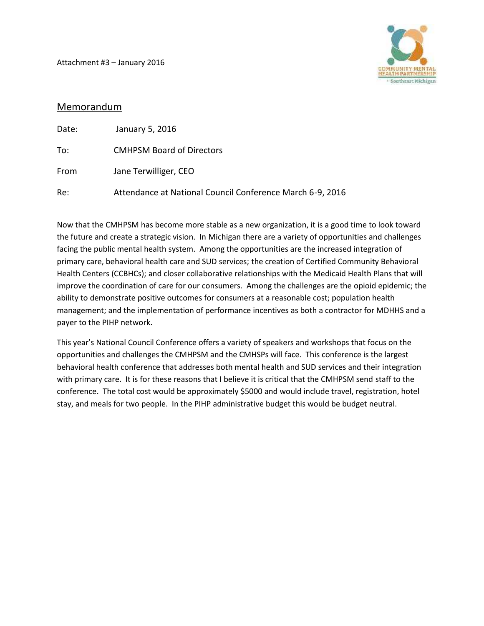Attachment #3 – January 2016



## Memorandum

| Date: | January 5, 2016                                           |
|-------|-----------------------------------------------------------|
| To:   | <b>CMHPSM Board of Directors</b>                          |
| From  | Jane Terwilliger, CEO                                     |
| Re:   | Attendance at National Council Conference March 6-9, 2016 |

Now that the CMHPSM has become more stable as a new organization, it is a good time to look toward the future and create a strategic vision. In Michigan there are a variety of opportunities and challenges facing the public mental health system. Among the opportunities are the increased integration of primary care, behavioral health care and SUD services; the creation of Certified Community Behavioral Health Centers (CCBHCs); and closer collaborative relationships with the Medicaid Health Plans that will improve the coordination of care for our consumers. Among the challenges are the opioid epidemic; the ability to demonstrate positive outcomes for consumers at a reasonable cost; population health management; and the implementation of performance incentives as both a contractor for MDHHS and a payer to the PIHP network.

This year's National Council Conference offers a variety of speakers and workshops that focus on the opportunities and challenges the CMHPSM and the CMHSPs will face. This conference is the largest behavioral health conference that addresses both mental health and SUD services and their integration with primary care. It is for these reasons that I believe it is critical that the CMHPSM send staff to the conference. The total cost would be approximately \$5000 and would include travel, registration, hotel stay, and meals for two people. In the PIHP administrative budget this would be budget neutral.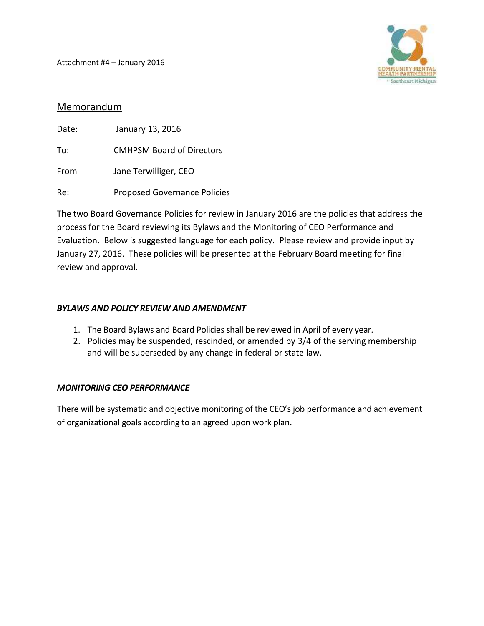Attachment #4 – January 2016



## Memorandum

| Date: | January 13, 2016                    |
|-------|-------------------------------------|
| To:   | <b>CMHPSM Board of Directors</b>    |
| From  | Jane Terwilliger, CEO               |
| Re:   | <b>Proposed Governance Policies</b> |

The two Board Governance Policies for review in January 2016 are the policies that address the process for the Board reviewing its Bylaws and the Monitoring of CEO Performance and Evaluation. Below is suggested language for each policy. Please review and provide input by January 27, 2016. These policies will be presented at the February Board meeting for final review and approval.

### *BYLAWS AND POLICY REVIEW AND AMENDMENT*

- 1. The Board Bylaws and Board Policies shall be reviewed in April of every year.
- 2. Policies may be suspended, rescinded, or amended by 3/4 of the serving membership and will be superseded by any change in federal or state law.

## *MONITORING CEO PERFORMANCE*

There will be systematic and objective monitoring of the CEO's job performance and achievement of organizational goals according to an agreed upon work plan.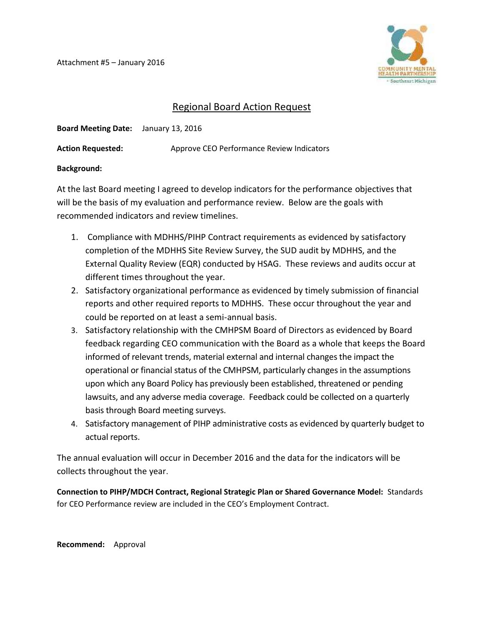Attachment #5 – January 2016



# Regional Board Action Request

**Board Meeting Date:** January 13, 2016

Action Requested: Approve CEO Performance Review Indicators

### **Background:**

At the last Board meeting I agreed to develop indicators for the performance objectives that will be the basis of my evaluation and performance review. Below are the goals with recommended indicators and review timelines.

- 1. Compliance with MDHHS/PIHP Contract requirements as evidenced by satisfactory completion of the MDHHS Site Review Survey, the SUD audit by MDHHS, and the External Quality Review (EQR) conducted by HSAG. These reviews and audits occur at different times throughout the year.
- 2. Satisfactory organizational performance as evidenced by timely submission of financial reports and other required reports to MDHHS. These occur throughout the year and could be reported on at least a semi-annual basis.
- 3. Satisfactory relationship with the CMHPSM Board of Directors as evidenced by Board feedback regarding CEO communication with the Board as a whole that keeps the Board informed of relevant trends, material external and internal changesthe impact the operational or financial status of the CMHPSM, particularly changes in the assumptions upon which any Board Policy has previously been established, threatened or pending lawsuits, and any adverse media coverage. Feedback could be collected on a quarterly basis through Board meeting surveys.
- 4. Satisfactory management of PIHP administrative costs as evidenced by quarterly budget to actual reports.

The annual evaluation will occur in December 2016 and the data for the indicators will be collects throughout the year.

**Connection to PIHP/MDCH Contract, Regional Strategic Plan or Shared Governance Model:** Standards for CEO Performance review are included in the CEO's Employment Contract.

**Recommend:** Approval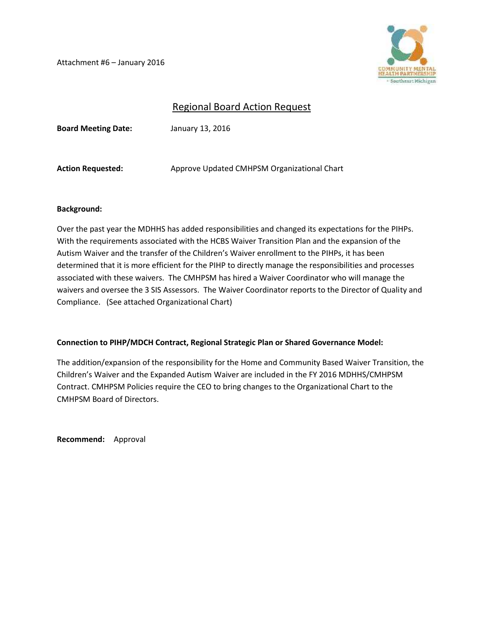Attachment #6 – January 2016



# Regional Board Action Request

**Board Meeting Date:** January 13, 2016

Action Requested: Approve Updated CMHPSM Organizational Chart

### **Background:**

Over the past year the MDHHS has added responsibilities and changed its expectations for the PIHPs. With the requirements associated with the HCBS Waiver Transition Plan and the expansion of the Autism Waiver and the transfer of the Children's Waiver enrollment to the PIHPs, it has been determined that it is more efficient for the PIHP to directly manage the responsibilities and processes associated with these waivers. The CMHPSM has hired a Waiver Coordinator who will manage the waivers and oversee the 3 SIS Assessors. The Waiver Coordinator reports to the Director of Quality and Compliance. (See attached Organizational Chart)

### **Connection to PIHP/MDCH Contract, Regional Strategic Plan or Shared Governance Model:**

The addition/expansion of the responsibility for the Home and Community Based Waiver Transition, the Children's Waiver and the Expanded Autism Waiver are included in the FY 2016 MDHHS/CMHPSM Contract. CMHPSM Policies require the CEO to bring changes to the Organizational Chart to the CMHPSM Board of Directors.

**Recommend:** Approval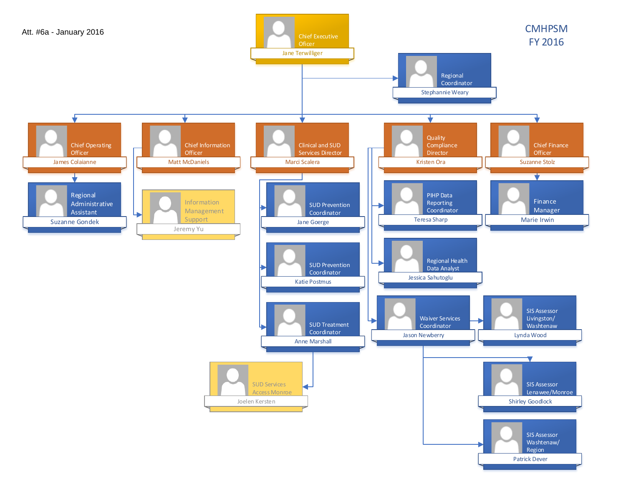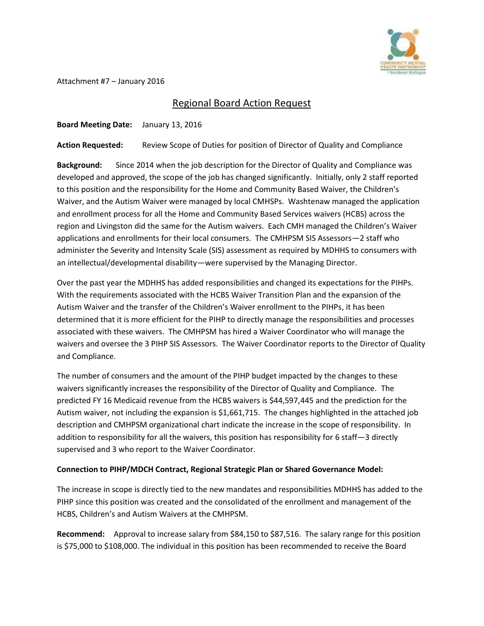

Attachment #7 – January 2016

# Regional Board Action Request

**Board Meeting Date:** January 13, 2016

**Action Requested:** Review Scope of Duties for position of Director of Quality and Compliance

**Background:** Since 2014 when the job description for the Director of Quality and Compliance was developed and approved, the scope of the job has changed significantly. Initially, only 2 staff reported to this position and the responsibility for the Home and Community Based Waiver, the Children's Waiver, and the Autism Waiver were managed by local CMHSPs. Washtenaw managed the application and enrollment process for all the Home and Community Based Services waivers (HCBS) across the region and Livingston did the same for the Autism waivers. Each CMH managed the Children's Waiver applications and enrollments for their local consumers. The CMHPSM SIS Assessors—2 staff who administer the Severity and Intensity Scale (SIS) assessment as required by MDHHS to consumers with an intellectual/developmental disability—were supervised by the Managing Director.

Over the past year the MDHHS has added responsibilities and changed its expectations for the PIHPs. With the requirements associated with the HCBS Waiver Transition Plan and the expansion of the Autism Waiver and the transfer of the Children's Waiver enrollment to the PIHPs, it has been determined that it is more efficient for the PIHP to directly manage the responsibilities and processes associated with these waivers. The CMHPSM has hired a Waiver Coordinator who will manage the waivers and oversee the 3 PIHP SIS Assessors. The Waiver Coordinator reports to the Director of Quality and Compliance.

The number of consumers and the amount of the PIHP budget impacted by the changes to these waivers significantly increases the responsibility of the Director of Quality and Compliance. The predicted FY 16 Medicaid revenue from the HCBS waivers is \$44,597,445 and the prediction for the Autism waiver, not including the expansion is \$1,661,715. The changes highlighted in the attached job description and CMHPSM organizational chart indicate the increase in the scope of responsibility. In addition to responsibility for all the waivers, this position has responsibility for 6 staff—3 directly supervised and 3 who report to the Waiver Coordinator.

### **Connection to PIHP/MDCH Contract, Regional Strategic Plan or Shared Governance Model:**

The increase in scope is directly tied to the new mandates and responsibilities MDHHS has added to the PIHP since this position was created and the consolidated of the enrollment and management of the HCBS, Children's and Autism Waivers at the CMHPSM.

**Recommend:** Approval to increase salary from \$84,150 to \$87,516. The salary range for this position is \$75,000 to \$108,000. The individual in this position has been recommended to receive the Board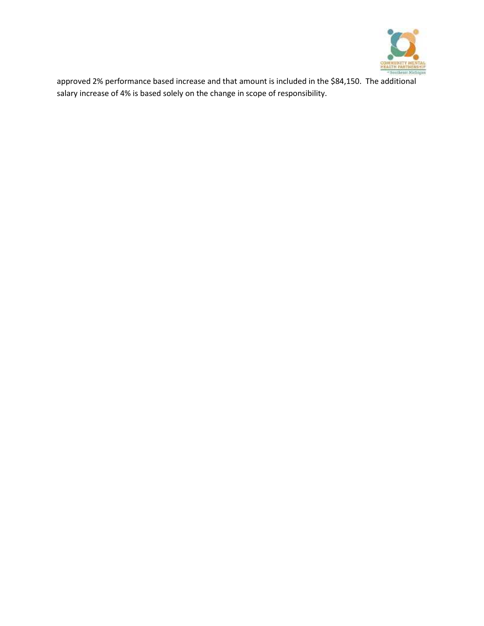

approved 2% performance based increase and that amount is included in the \$84,150. The additional salary increase of 4% is based solely on the change in scope of responsibility.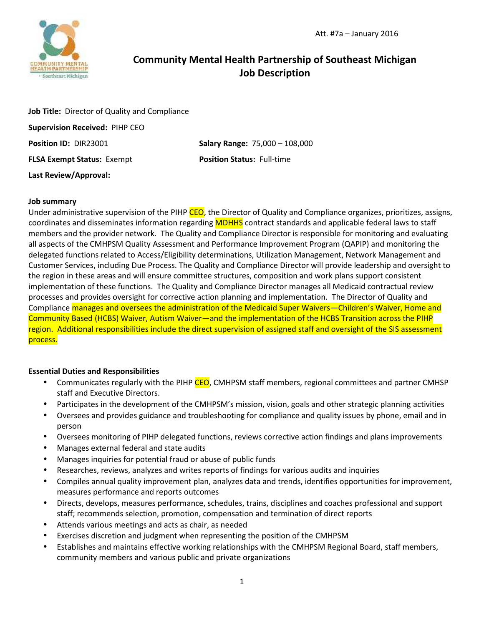# **Community Mental Health Partnership of Southeast Michigan Job Description**

| Job Title: Director of Quality and Compliance |                                                    |
|-----------------------------------------------|----------------------------------------------------|
| <b>Supervision Received: PIHP CEO</b>         |                                                    |
| Position ID: DIR23001                         | <b>Salary Range: <math>75,000 - 108,000</math></b> |
| <b>FLSA Exempt Status: Exempt</b>             | <b>Position Status: Full-time</b>                  |
| Last Review/Approval:                         |                                                    |

#### **Job summary**

Under administrative supervision of the PIHP CEO, the Director of Quality and Compliance organizes, prioritizes, assigns, coordinates and disseminates information regarding MDHHS contract standards and applicable federal laws to staff members and the provider network. The Quality and Compliance Director is responsible for monitoring and evaluating all aspects of the CMHPSM Quality Assessment and Performance Improvement Program (QAPIP) and monitoring the delegated functions related to Access/Eligibility determinations, Utilization Management, Network Management and Customer Services, including Due Process. The Quality and Compliance Director will provide leadership and oversight to the region in these areas and will ensure committee structures, composition and work plans support consistent implementation of these functions. The Quality and Compliance Director manages all Medicaid contractual review processes and provides oversight for corrective action planning and implementation. The Director of Quality and Compliance manages and oversees the administration of the Medicaid Super Waivers—Children's Waiver, Home and Community Based (HCBS) Waiver, Autism Waiver—and the implementation of the HCBS Transition across the PIHP region. Additional responsibilities include the direct supervision of assigned staff and oversight of the SIS assessment process.

#### **Essential Duties and Responsibilities**

- Communicates regularly with the PIHP CEO, CMHPSM staff members, regional committees and partner CMHSP staff and Executive Directors.
- Participates in the development of the CMHPSM's mission, vision, goals and other strategic planning activities
- Oversees and provides guidance and troubleshooting for compliance and quality issues by phone, email and in person
- Oversees monitoring of PIHP delegated functions, reviews corrective action findings and plans improvements
- Manages external federal and state audits
- Manages inquiries for potential fraud or abuse of public funds
- Researches, reviews, analyzes and writes reports of findings for various audits and inquiries
- Compiles annual quality improvement plan, analyzes data and trends, identifies opportunities for improvement, measures performance and reports outcomes
- Directs, develops, measures performance, schedules, trains, disciplines and coaches professional and support staff; recommends selection, promotion, compensation and termination of direct reports
- Attends various meetings and acts as chair, as needed
- Exercises discretion and judgment when representing the position of the CMHPSM
- Establishes and maintains effective working relationships with the CMHPSM Regional Board, staff members, community members and various public and private organizations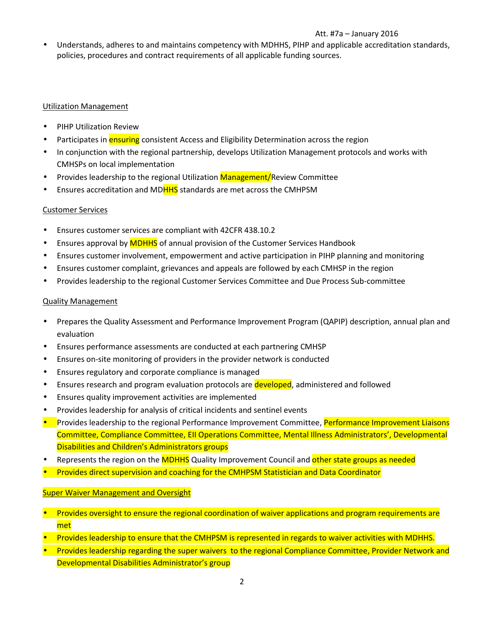### Att. #7a – January 2016

 Understands, adheres to and maintains competency with MDHHS, PIHP and applicable accreditation standards, policies, procedures and contract requirements of all applicable funding sources.

### Utilization Management

- PIHP Utilization Review
- Participates in **ensuring** consistent Access and Eligibility Determination across the region
- In conjunction with the regional partnership, develops Utilization Management protocols and works with CMHSPs on local implementation
- Provides leadership to the regional Utilization Management/Review Committee
- Ensures accreditation and MDHHS standards are met across the CMHPSM

### Customer Services

- Ensures customer services are compliant with 42CFR 438.10.2
- Ensures approval by MDHHS of annual provision of the Customer Services Handbook
- Ensures customer involvement, empowerment and active participation in PIHP planning and monitoring
- Ensures customer complaint, grievances and appeals are followed by each CMHSP in the region
- Provides leadership to the regional Customer Services Committee and Due Process Sub-committee

### Quality Management

- Prepares the Quality Assessment and Performance Improvement Program (QAPIP) description, annual plan and evaluation
- Ensures performance assessments are conducted at each partnering CMHSP
- Ensures on-site monitoring of providers in the provider network is conducted
- Ensures regulatory and corporate compliance is managed
- Ensures research and program evaluation protocols are developed, administered and followed
- Ensures quality improvement activities are implemented
- Provides leadership for analysis of critical incidents and sentinel events
- Provides leadership to the regional Performance Improvement Committee, Performance Improvement Liaisons Committee, Compliance Committee, EII Operations Committee, Mental Illness Administrators', Developmental Disabilities and Children's Administrators groups
- Represents the region on the MDHHS Quality Improvement Council and other state groups as needed
- Provides direct supervision and coaching for the CMHPSM Statistician and Data Coordinator

### Super Waiver Management and Oversight

- Provides oversight to ensure the regional coordination of waiver applications and program requirements are met
- Provides leadership to ensure that the CMHPSM is represented in regards to waiver activities with MDHHS.
- Provides leadership regarding the super waivers to the regional Compliance Committee, Provider Network and Developmental Disabilities Administrator's group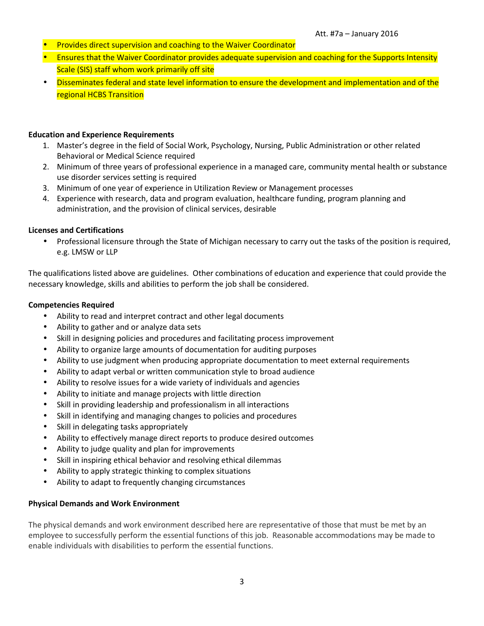- Provides direct supervision and coaching to the Waiver Coordinator
- **Ensures that the Waiver Coordinator provides adequate supervision and coaching for the Supports Intensity** Scale (SIS) staff whom work primarily off site
- Disseminates federal and state level information to ensure the development and implementation and of the regional HCBS Transition

#### **Education and Experience Requirements**

- 1. Master's degree in the field of Social Work, Psychology, Nursing, Public Administration or other related Behavioral or Medical Science required
- 2. Minimum of three years of professional experience in a managed care, community mental health or substance use disorder services setting is required
- 3. Minimum of one year of experience in Utilization Review or Management processes
- 4. Experience with research, data and program evaluation, healthcare funding, program planning and administration, and the provision of clinical services, desirable

#### **Licenses and Certifications**

 Professional licensure through the State of Michigan necessary to carry out the tasks of the position is required, e.g. LMSW or LLP

The qualifications listed above are guidelines. Other combinations of education and experience that could provide the necessary knowledge, skills and abilities to perform the job shall be considered.

#### **Competencies Required**

- Ability to read and interpret contract and other legal documents
- Ability to gather and or analyze data sets
- Skill in designing policies and procedures and facilitating process improvement
- Ability to organize large amounts of documentation for auditing purposes
- Ability to use judgment when producing appropriate documentation to meet external requirements
- Ability to adapt verbal or written communication style to broad audience
- Ability to resolve issues for a wide variety of individuals and agencies
- Ability to initiate and manage projects with little direction
- Skill in providing leadership and professionalism in all interactions
- Skill in identifying and managing changes to policies and procedures
- Skill in delegating tasks appropriately
- Ability to effectively manage direct reports to produce desired outcomes
- Ability to judge quality and plan for improvements
- Skill in inspiring ethical behavior and resolving ethical dilemmas
- Ability to apply strategic thinking to complex situations
- Ability to adapt to frequently changing circumstances

#### **Physical Demands and Work Environment**

The physical demands and work environment described here are representative of those that must be met by an employee to successfully perform the essential functions of this job. Reasonable accommodations may be made to enable individuals with disabilities to perform the essential functions.